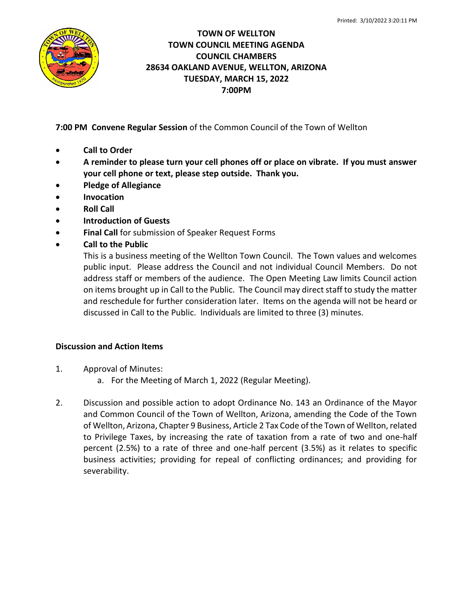

# **TOWN OF WELLTON TOWN COUNCIL MEETING AGENDA COUNCIL CHAMBERS 28634 OAKLAND AVENUE, WELLTON, ARIZONA TUESDAY, MARCH 15, 2022 7:00PM**

**7:00 PM Convene Regular Session** of the Common Council of the Town of Wellton

- **Call to Order**
- **A reminder to please turn your cell phones off or place on vibrate. If you must answer your cell phone or text, please step outside. Thank you.**
- **Pledge of Allegiance**
- **Invocation**
- **Roll Call**
- **Introduction of Guests**
- **Final Call** for submission of Speaker Request Forms
- **Call to the Public**

This is a business meeting of the Wellton Town Council. The Town values and welcomes public input. Please address the Council and not individual Council Members. Do not address staff or members of the audience. The Open Meeting Law limits Council action on items brought up in Call to the Public. The Council may direct staff to study the matter and reschedule for further consideration later. Items on the agenda will not be heard or discussed in Call to the Public. Individuals are limited to three (3) minutes.

## **Discussion and Action Items**

- 1. Approval of Minutes:
	- a. For the Meeting of March 1, 2022 (Regular Meeting).
- 2. Discussion and possible action to adopt Ordinance No. 143 an Ordinance of the Mayor and Common Council of the Town of Wellton, Arizona, amending the Code of the Town of Wellton, Arizona, Chapter 9 Business, Article 2 Tax Code of the Town of Wellton, related to Privilege Taxes, by increasing the rate of taxation from a rate of two and one-half percent (2.5%) to a rate of three and one-half percent (3.5%) as it relates to specific business activities; providing for repeal of conflicting ordinances; and providing for severability.